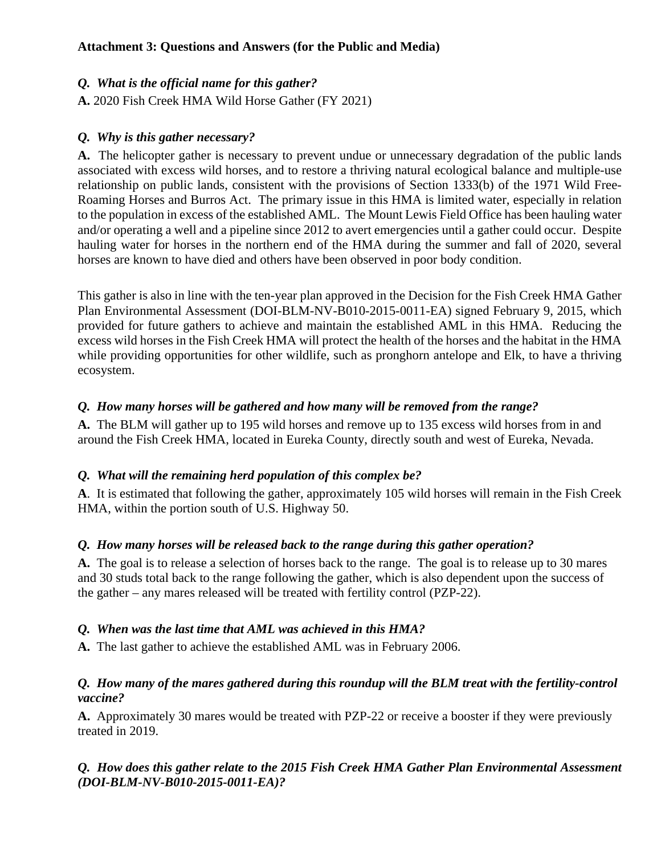# *Q. What is the official name for this gather?*

**A.** 2020 Fish Creek HMA Wild Horse Gather (FY 2021)

### *Q. Why is this gather necessary?*

**A.** The helicopter gather is necessary to prevent undue or unnecessary degradation of the public lands associated with excess wild horses, and to restore a thriving natural ecological balance and multiple-use relationship on public lands, consistent with the provisions of Section 1333(b) of the 1971 Wild Free-Roaming Horses and Burros Act. The primary issue in this HMA is limited water, especially in relation to the population in excess of the established AML. The Mount Lewis Field Office has been hauling water and/or operating a well and a pipeline since 2012 to avert emergencies until a gather could occur. Despite hauling water for horses in the northern end of the HMA during the summer and fall of 2020, several horses are known to have died and others have been observed in poor body condition.

This gather is also in line with the ten-year plan approved in the Decision for the Fish Creek HMA Gather Plan Environmental Assessment (DOI-BLM-NV-B010-2015-0011-EA) signed February 9, 2015, which provided for future gathers to achieve and maintain the established AML in this HMA. Reducing the excess wild horses in the Fish Creek HMA will protect the health of the horses and the habitat in the HMA while providing opportunities for other wildlife, such as pronghorn antelope and Elk, to have a thriving ecosystem.

### *Q. How many horses will be gathered and how many will be removed from the range?*

**A.** The BLM will gather up to 195 wild horses and remove up to 135 excess wild horses from in and around the Fish Creek HMA, located in Eureka County, directly south and west of Eureka, Nevada.

# *Q. What will the remaining herd population of this complex be?*

**A**. It is estimated that following the gather, approximately 105 wild horses will remain in the Fish Creek HMA, within the portion south of U.S. Highway 50.

# *Q. How many horses will be released back to the range during this gather operation?*

**A.** The goal is to release a selection of horses back to the range. The goal is to release up to 30 mares and 30 studs total back to the range following the gather, which is also dependent upon the success of the gather – any mares released will be treated with fertility control (PZP-22).

# *Q. When was the last time that AML was achieved in this HMA?*

**A.** The last gather to achieve the established AML was in February 2006.

#### *Q. How many of the mares gathered during this roundup will the BLM treat with the fertility-control vaccine?*

**A.** Approximately 30 mares would be treated with PZP-22 or receive a booster if they were previously treated in 2019.

### *Q. How does this gather relate to the 2015 Fish Creek HMA Gather Plan Environmental Assessment (DOI-BLM-NV-B010-2015-0011-EA)?*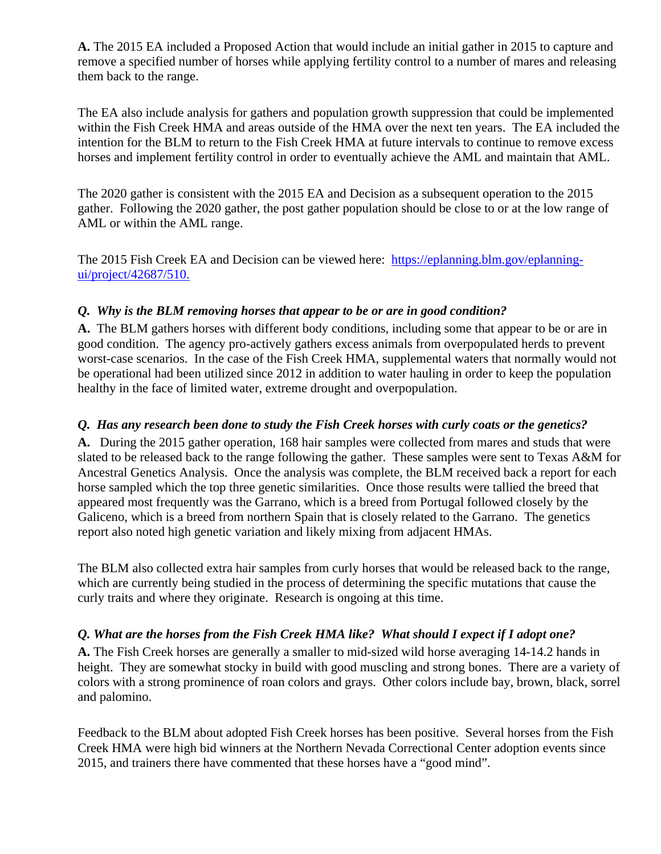**A.** The 2015 EA included a Proposed Action that would include an initial gather in 2015 to capture and remove a specified number of horses while applying fertility control to a number of mares and releasing them back to the range.

The EA also include analysis for gathers and population growth suppression that could be implemented within the Fish Creek HMA and areas outside of the HMA over the next ten years. The EA included the intention for the BLM to return to the Fish Creek HMA at future intervals to continue to remove excess horses and implement fertility control in order to eventually achieve the AML and maintain that AML.

The 2020 gather is consistent with the 2015 EA and Decision as a subsequent operation to the 2015 gather. Following the 2020 gather, the post gather population should be close to or at the low range of AML or within the AML range.

The 2015 Fish Creek EA and Decision can be viewed here: https://eplanning.blm.gov/eplanningui/project/42687/510.

### *Q. Why is the BLM removing horses that appear to be or are in good condition?*

**A.** The BLM gathers horses with different body conditions, including some that appear to be or are in good condition. The agency pro-actively gathers excess animals from overpopulated herds to prevent worst-case scenarios. In the case of the Fish Creek HMA, supplemental waters that normally would not be operational had been utilized since 2012 in addition to water hauling in order to keep the population healthy in the face of limited water, extreme drought and overpopulation.

### *Q. Has any research been done to study the Fish Creek horses with curly coats or the genetics?*

**A.** During the 2015 gather operation, 168 hair samples were collected from mares and studs that were slated to be released back to the range following the gather. These samples were sent to Texas A&M for Ancestral Genetics Analysis. Once the analysis was complete, the BLM received back a report for each horse sampled which the top three genetic similarities. Once those results were tallied the breed that appeared most frequently was the Garrano, which is a breed from Portugal followed closely by the Galiceno, which is a breed from northern Spain that is closely related to the Garrano. The genetics report also noted high genetic variation and likely mixing from adjacent HMAs.

The BLM also collected extra hair samples from curly horses that would be released back to the range, which are currently being studied in the process of determining the specific mutations that cause the curly traits and where they originate. Research is ongoing at this time.

# *Q. What are the horses from the Fish Creek HMA like? What should I expect if I adopt one?*

**A.** The Fish Creek horses are generally a smaller to mid-sized wild horse averaging 14-14.2 hands in height. They are somewhat stocky in build with good muscling and strong bones. There are a variety of colors with a strong prominence of roan colors and grays. Other colors include bay, brown, black, sorrel and palomino.

Feedback to the BLM about adopted Fish Creek horses has been positive. Several horses from the Fish Creek HMA were high bid winners at the Northern Nevada Correctional Center adoption events since 2015, and trainers there have commented that these horses have a "good mind".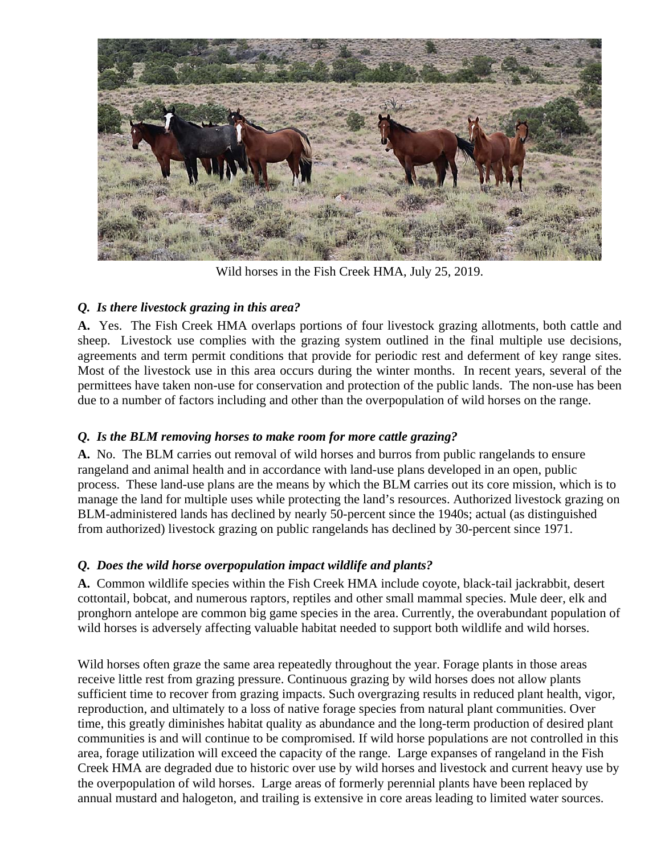

Wild horses in the Fish Creek HMA, July 25, 2019.

# *Q. Is there livestock grazing in this area?*

**A.** Yes. The Fish Creek HMA overlaps portions of four livestock grazing allotments, both cattle and sheep. Livestock use complies with the grazing system outlined in the final multiple use decisions, agreements and term permit conditions that provide for periodic rest and deferment of key range sites. Most of the livestock use in this area occurs during the winter months. In recent years, several of the permittees have taken non-use for conservation and protection of the public lands. The non-use has been due to a number of factors including and other than the overpopulation of wild horses on the range.

# *Q. Is the BLM removing horses to make room for more cattle grazing?*

**A.** No.The BLM carries out removal of wild horses and burros from public rangelands to ensure rangeland and animal health and in accordance with land-use plans developed in an open, public process. These land-use plans are the means by which the BLM carries out its core mission, which is to manage the land for multiple uses while protecting the land's resources. Authorized livestock grazing on BLM-administered lands has declined by nearly 50-percent since the 1940s; actual (as distinguished from authorized) livestock grazing on public rangelands has declined by 30-percent since 1971.

# *Q. Does the wild horse overpopulation impact wildlife and plants?*

**A.** Common wildlife species within the Fish Creek HMA include coyote, black-tail jackrabbit, desert cottontail, bobcat, and numerous raptors, reptiles and other small mammal species. Mule deer, elk and pronghorn antelope are common big game species in the area. Currently, the overabundant population of wild horses is adversely affecting valuable habitat needed to support both wildlife and wild horses.

Wild horses often graze the same area repeatedly throughout the year. Forage plants in those areas receive little rest from grazing pressure. Continuous grazing by wild horses does not allow plants sufficient time to recover from grazing impacts. Such overgrazing results in reduced plant health, vigor, reproduction, and ultimately to a loss of native forage species from natural plant communities. Over time, this greatly diminishes habitat quality as abundance and the long-term production of desired plant communities is and will continue to be compromised. If wild horse populations are not controlled in this area, forage utilization will exceed the capacity of the range. Large expanses of rangeland in the Fish Creek HMA are degraded due to historic over use by wild horses and livestock and current heavy use by the overpopulation of wild horses. Large areas of formerly perennial plants have been replaced by annual mustard and halogeton, and trailing is extensive in core areas leading to limited water sources.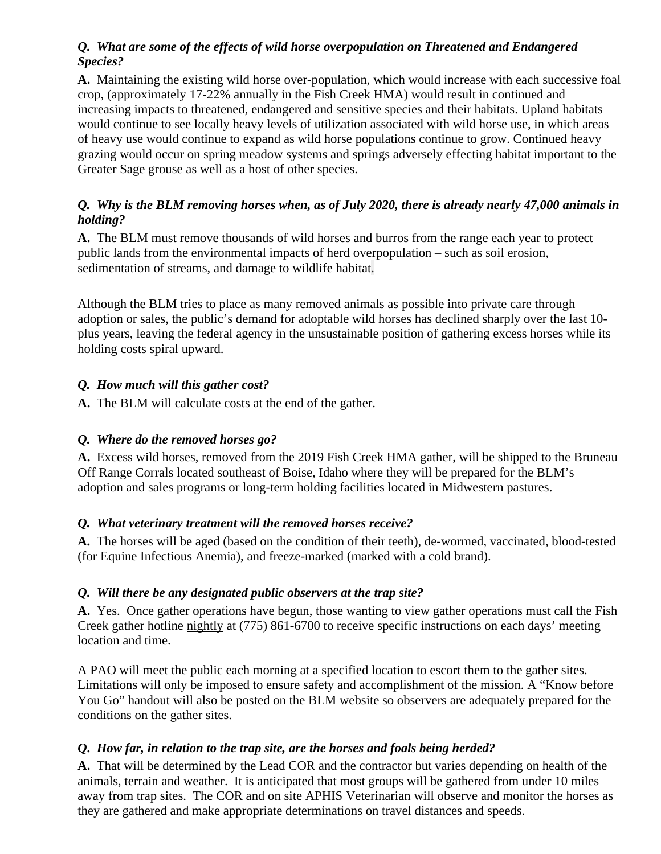### *Q. What are some of the effects of wild horse overpopulation on Threatened and Endangered Species?*

**A.** Maintaining the existing wild horse over-population, which would increase with each successive foal crop, (approximately 17-22% annually in the Fish Creek HMA) would result in continued and increasing impacts to threatened, endangered and sensitive species and their habitats. Upland habitats would continue to see locally heavy levels of utilization associated with wild horse use, in which areas of heavy use would continue to expand as wild horse populations continue to grow. Continued heavy grazing would occur on spring meadow systems and springs adversely effecting habitat important to the Greater Sage grouse as well as a host of other species.

# *Q. Why is the BLM removing horses when, as of July 2020, there is already nearly 47,000 animals in holding?*

**A.** The BLM must remove thousands of wild horses and burros from the range each year to protect public lands from the environmental impacts of herd overpopulation – such as soil erosion, sedimentation of streams, and damage to wildlife habitat.

Although the BLM tries to place as many removed animals as possible into private care through adoption or sales, the public's demand for adoptable wild horses has declined sharply over the last 10 plus years, leaving the federal agency in the unsustainable position of gathering excess horses while its holding costs spiral upward.

# *Q. How much will this gather cost?*

**A.** The BLM will calculate costs at the end of the gather.

# *Q. Where do the removed horses go?*

**A.** Excess wild horses, removed from the 2019 Fish Creek HMA gather, will be shipped to the Bruneau Off Range Corrals located southeast of Boise, Idaho where they will be prepared for the BLM's adoption and sales programs or long-term holding facilities located in Midwestern pastures.

# *Q. What veterinary treatment will the removed horses receive?*

**A.** The horses will be aged (based on the condition of their teeth), de-wormed, vaccinated, blood-tested (for Equine Infectious Anemia), and freeze-marked (marked with a cold brand).

# *Q. Will there be any designated public observers at the trap site?*

**A.** Yes. Once gather operations have begun, those wanting to view gather operations must call the Fish Creek gather hotline nightly at (775) 861-6700 to receive specific instructions on each days' meeting location and time.

A PAO will meet the public each morning at a specified location to escort them to the gather sites. Limitations will only be imposed to ensure safety and accomplishment of the mission. A "Know before You Go" handout will also be posted on the BLM website so observers are adequately prepared for the conditions on the gather sites.

# *Q***.** *How far, in relation to the trap site, are the horses and foals being herded?*

**A.** That will be determined by the Lead COR and the contractor but varies depending on health of the animals, terrain and weather.It is anticipated that most groups will be gathered from under 10 miles away from trap sites. The COR and on site APHIS Veterinarian will observe and monitor the horses as they are gathered and make appropriate determinations on travel distances and speeds.